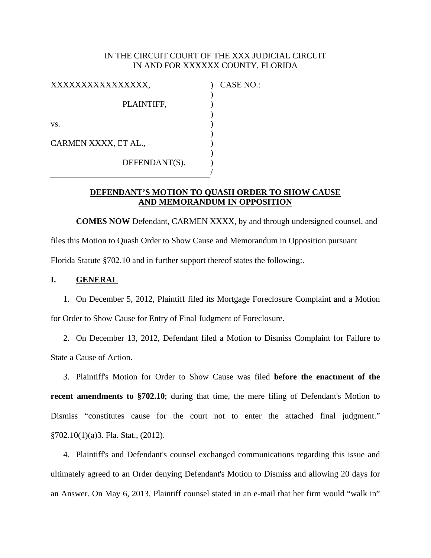### IN THE CIRCUIT COURT OF THE XXX JUDICIAL CIRCUIT IN AND FOR XXXXXX COUNTY, FLORIDA

) ) ) ) ) ) ) ) /

| XXXXXXXXXXXXXXXX,    |               |
|----------------------|---------------|
|                      | PLAINTIFF,    |
| VS.                  |               |
| CARMEN XXXX, ET AL., |               |
|                      | DEFENDANT(S). |

) CASE NO.:

### **DEFENDANT'S MOTION TO QUASH ORDER TO SHOW CAUSE AND MEMORANDUM IN OPPOSITION**

 **COMES NOW** Defendant, CARMEN XXXX, by and through undersigned counsel, and files this Motion to Quash Order to Show Cause and Memorandum in Opposition pursuant Florida Statute §702.10 and in further support thereof states the following:.

### **I. GENERAL**

1. On December 5, 2012, Plaintiff filed its Mortgage Foreclosure Complaint and a Motion for Order to Show Cause for Entry of Final Judgment of Foreclosure.

2. On December 13, 2012, Defendant filed a Motion to Dismiss Complaint for Failure to State a Cause of Action.

3. Plaintiff's Motion for Order to Show Cause was filed **before the enactment of the recent amendments to §702.10**; during that time, the mere filing of Defendant's Motion to Dismiss "constitutes cause for the court not to enter the attached final judgment." §702.10(1)(a)3. Fla. Stat., (2012).

4. Plaintiff's and Defendant's counsel exchanged communications regarding this issue and ultimately agreed to an Order denying Defendant's Motion to Dismiss and allowing 20 days for an Answer. On May 6, 2013, Plaintiff counsel stated in an e-mail that her firm would "walk in"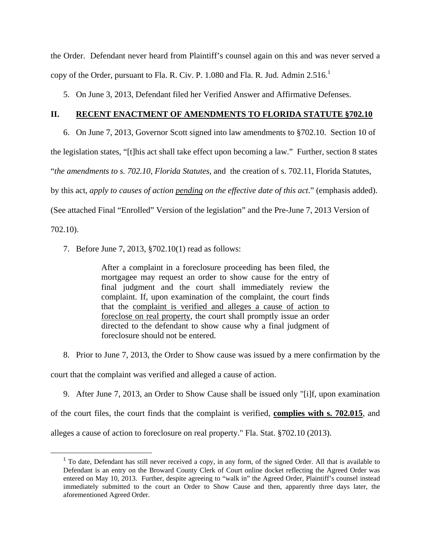the Order. Defendant never heard from Plaintiff's counsel again on this and was never served a copy of the Order, pursuant to Fla. R. Civ. P. 1.080 and Fla. R. Jud. Admin  $2.516$ .<sup>1</sup>

5. On June 3, 2013, Defendant filed her Verified Answer and Affirmative Defenses.

### **II. RECENT ENACTMENT OF AMENDMENTS TO FLORIDA STATUTE §702.10**

6. On June 7, 2013, Governor Scott signed into law amendments to §702.10. Section 10 of

the legislation states, "[t]his act shall take effect upon becoming a law." Further, section 8 states

"*the amendments to s. 702.10, Florida Statutes*, and the creation of s. 702.11, Florida Statutes,

by this act, *apply to causes of action pending on the effective date of this act*." (emphasis added).

(See attached Final "Enrolled" Version of the legislation" and the Pre-June 7, 2013 Version of

702.10).

7. Before June 7, 2013, §702.10(1) read as follows:

After a complaint in a foreclosure proceeding has been filed, the mortgagee may request an order to show cause for the entry of final judgment and the court shall immediately review the complaint. If, upon examination of the complaint, the court finds that the complaint is verified and alleges a cause of action to foreclose on real property, the court shall promptly issue an order directed to the defendant to show cause why a final judgment of foreclosure should not be entered.

8. Prior to June 7, 2013, the Order to Show cause was issued by a mere confirmation by the

court that the complaint was verified and alleged a cause of action.

9. After June 7, 2013, an Order to Show Cause shall be issued only "[i]f, upon examination

of the court files, the court finds that the complaint is verified, **complies with s. 702.015**, and alleges a cause of action to foreclosure on real property." Fla. Stat. §702.10 (2013).

<sup>&</sup>lt;sup>1</sup> To date, Defendant has still never received a copy, in any form, of the signed Order. All that is available to Defendant is an entry on the Broward County Clerk of Court online docket reflecting the Agreed Order was entered on May 10, 2013. Further, despite agreeing to "walk in" the Agreed Order, Plaintiff's counsel instead immediately submitted to the court an Order to Show Cause and then, apparently three days later, the aforementioned Agreed Order.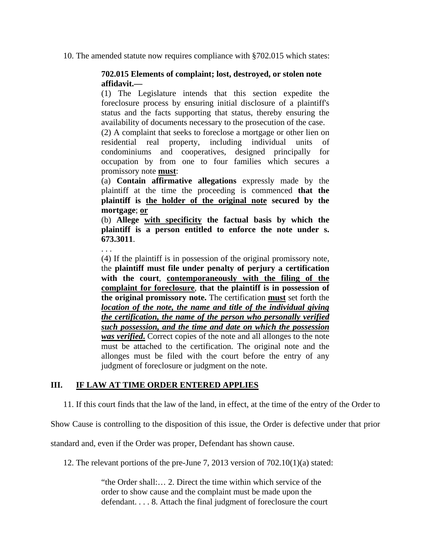10. The amended statute now requires compliance with §702.015 which states:

### **702.015 Elements of complaint; lost, destroyed, or stolen note affidavit.—**

(1) The Legislature intends that this section expedite the foreclosure process by ensuring initial disclosure of a plaintiff's status and the facts supporting that status, thereby ensuring the availability of documents necessary to the prosecution of the case.

(2) A complaint that seeks to foreclose a mortgage or other lien on residential real property, including individual units of condominiums and cooperatives, designed principally for occupation by from one to four families which secures a promissory note **must**:

(a) **Contain affirmative allegations** expressly made by the plaintiff at the time the proceeding is commenced **that the plaintiff is the holder of the original note secured by the mortgage**; **or**

(b) **Allege with specificity the factual basis by which the plaintiff is a person entitled to enforce the note under s. 673.3011**.

. . .

(4) If the plaintiff is in possession of the original promissory note, the **plaintiff must file under penalty of perjury a certification with the court**, **contemporaneously with the filing of the complaint for foreclosure**, **that the plaintiff is in possession of the original promissory note.** The certification **must** set forth the *location of the note, the name and title of the individual giving the certification, the name of the person who personally verified such possession, and the time and date on which the possession was verified***.** Correct copies of the note and all allonges to the note must be attached to the certification. The original note and the allonges must be filed with the court before the entry of any judgment of foreclosure or judgment on the note.

### **III. IF LAW AT TIME ORDER ENTERED APPLIES**

11. If this court finds that the law of the land, in effect, at the time of the entry of the Order to

Show Cause is controlling to the disposition of this issue, the Order is defective under that prior

standard and, even if the Order was proper, Defendant has shown cause.

12. The relevant portions of the pre-June 7, 2013 version of  $702.10(1)(a)$  stated:

"the Order shall:… 2. Direct the time within which service of the order to show cause and the complaint must be made upon the defendant. . . . 8. Attach the final judgment of foreclosure the court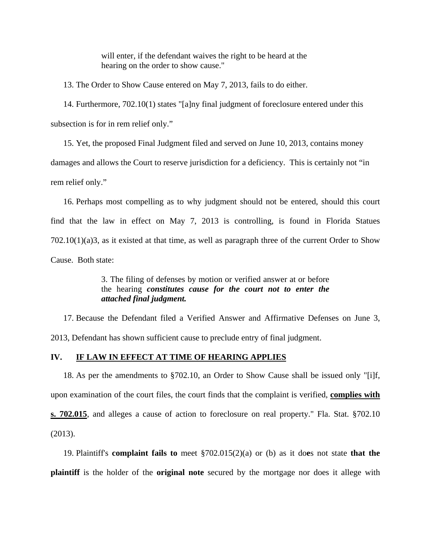will enter, if the defendant waives the right to be heard at the hearing on the order to show cause."

13. The Order to Show Cause entered on May 7, 2013, fails to do either.

14. Furthermore, 702.10(1) states "[a]ny final judgment of foreclosure entered under this subsection is for in rem relief only."

15. Yet, the proposed Final Judgment filed and served on June 10, 2013, contains money damages and allows the Court to reserve jurisdiction for a deficiency. This is certainly not "in rem relief only."

16. Perhaps most compelling as to why judgment should not be entered, should this court find that the law in effect on May 7, 2013 is controlling, is found in Florida Statues 702.10(1)(a)3, as it existed at that time, as well as paragraph three of the current Order to Show Cause. Both state:

> 3. The filing of defenses by motion or verified answer at or before the hearing *constitutes cause for the court not to enter the attached final judgment.*

17. Because the Defendant filed a Verified Answer and Affirmative Defenses on June 3, 2013, Defendant has shown sufficient cause to preclude entry of final judgment.

### **IV. IF LAW IN EFFECT AT TIME OF HEARING APPLIES**

18. As per the amendments to §702.10, an Order to Show Cause shall be issued only "[i]f, upon examination of the court files, the court finds that the complaint is verified, **complies with s. 702.015**, and alleges a cause of action to foreclosure on real property." Fla. Stat. §702.10 (2013).

19. Plaintiff's **complaint fails to** meet §702.015(2)(a) or (b) as it do**e**s not state **that the plaintiff** is the holder of the **original note** secured by the mortgage nor does it allege with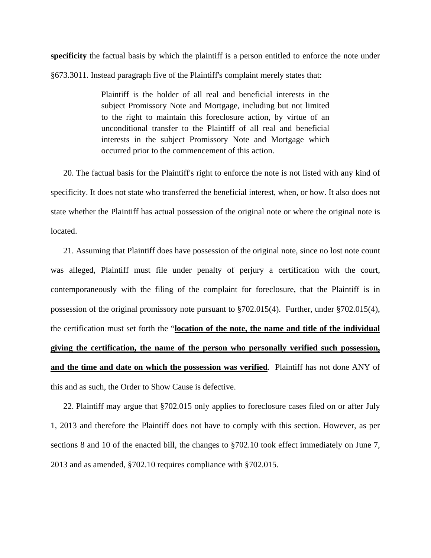**specificity** the factual basis by which the plaintiff is a person entitled to enforce the note under §673.3011. Instead paragraph five of the Plaintiff's complaint merely states that:

> Plaintiff is the holder of all real and beneficial interests in the subject Promissory Note and Mortgage, including but not limited to the right to maintain this foreclosure action, by virtue of an unconditional transfer to the Plaintiff of all real and beneficial interests in the subject Promissory Note and Mortgage which occurred prior to the commencement of this action.

20. The factual basis for the Plaintiff's right to enforce the note is not listed with any kind of specificity. It does not state who transferred the beneficial interest, when, or how. It also does not state whether the Plaintiff has actual possession of the original note or where the original note is located.

21. Assuming that Plaintiff does have possession of the original note, since no lost note count was alleged, Plaintiff must file under penalty of perjury a certification with the court, contemporaneously with the filing of the complaint for foreclosure, that the Plaintiff is in possession of the original promissory note pursuant to §702.015(4). Further, under §702.015(4), the certification must set forth the "**location of the note, the name and title of the individual giving the certification, the name of the person who personally verified such possession, and the time and date on which the possession was verified**. Plaintiff has not done ANY of this and as such, the Order to Show Cause is defective.

22. Plaintiff may argue that §702.015 only applies to foreclosure cases filed on or after July 1, 2013 and therefore the Plaintiff does not have to comply with this section. However, as per sections 8 and 10 of the enacted bill, the changes to §702.10 took effect immediately on June 7, 2013 and as amended, §702.10 requires compliance with §702.015.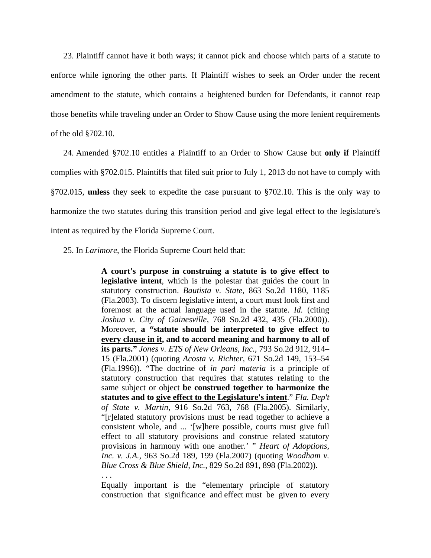23. Plaintiff cannot have it both ways; it cannot pick and choose which parts of a statute to enforce while ignoring the other parts. If Plaintiff wishes to seek an Order under the recent amendment to the statute, which contains a heightened burden for Defendants, it cannot reap those benefits while traveling under an Order to Show Cause using the more lenient requirements of the old §702.10.

24. Amended §702.10 entitles a Plaintiff to an Order to Show Cause but **only if** Plaintiff complies with §702.015. Plaintiffs that filed suit prior to July 1, 2013 do not have to comply with §702.015, **unless** they seek to expedite the case pursuant to §702.10. This is the only way to harmonize the two statutes during this transition period and give legal effect to the legislature's intent as required by the Florida Supreme Court.

25. In *Larimore*, the Florida Supreme Court held that:

. . .

**A court's purpose in construing a statute is to give effect to legislative intent**, which is the polestar that guides the court in statutory construction. *Bautista v. State,* 863 So.2d 1180, 1185 (Fla.2003). To discern legislative intent, a court must look first and foremost at the actual language used in the statute. *Id.* (citing *Joshua v. City of Gainesville,* 768 So.2d 432, 435 (Fla.2000)). Moreover, **a "statute should be interpreted to give effect to every clause in it, and to accord meaning and harmony to all of its parts."** *Jones v. ETS of New Orleans, Inc.,* 793 So.2d 912, 914– 15 (Fla.2001) (quoting *Acosta v. Richter,* 671 So.2d 149, 153–54 (Fla.1996)). "The doctrine of *in pari materia* is a principle of statutory construction that requires that statutes relating to the same subject or object **be construed together to harmonize the statutes and to give effect to the Legislature's intent**." *Fla. Dep't of State v. Martin,* 916 So.2d 763, 768 (Fla.2005). Similarly, "[r]elated statutory provisions must be read together to achieve a consistent whole, and ... '[w]here possible, courts must give full effect to all statutory provisions and construe related statutory provisions in harmony with one another.' " *Heart of Adoptions, Inc. v. J.A.,* 963 So.2d 189, 199 (Fla.2007) (quoting *Woodham v. Blue Cross & Blue Shield, Inc.,* 829 So.2d 891, 898 (Fla.2002)).

Equally important is the "elementary principle of statutory construction that significance and effect must be given to every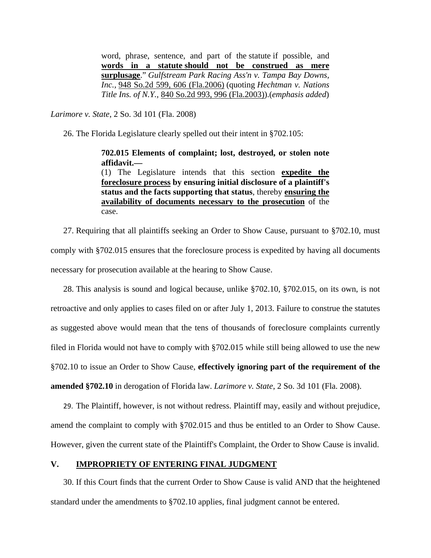word, phrase, sentence, and part of the statute if possible, and **words in a statute should not be construed as mere surplusage**." *Gulfstream Park Racing Ass'n v. Tampa Bay Downs, Inc.,* 948 So.2d 599, 606 (Fla.2006) (quoting *Hechtman v. Nations Title Ins. of N.Y.,* 840 So.2d 993, 996 (Fla.2003)).(*emphasis added*)

*Larimore v. State*, 2 So. 3d 101 (Fla. 2008)

26. The Florida Legislature clearly spelled out their intent in §702.105:

**702.015 Elements of complaint; lost, destroyed, or stolen note affidavit.—** 

(1) The Legislature intends that this section **expedite the foreclosure process by ensuring initial disclosure of a plaintiff's status and the facts supporting that status**, thereby **ensuring the availability of documents necessary to the prosecution** of the case.

27. Requiring that all plaintiffs seeking an Order to Show Cause, pursuant to §702.10, must comply with §702.015 ensures that the foreclosure process is expedited by having all documents necessary for prosecution available at the hearing to Show Cause.

28. This analysis is sound and logical because, unlike §702.10, §702.015, on its own, is not retroactive and only applies to cases filed on or after July 1, 2013. Failure to construe the statutes as suggested above would mean that the tens of thousands of foreclosure complaints currently filed in Florida would not have to comply with §702.015 while still being allowed to use the new §702.10 to issue an Order to Show Cause, **effectively ignoring part of the requirement of the amended §702.10** in derogation of Florida law. *Larimore v. State*, 2 So. 3d 101 (Fla. 2008).

29. The Plaintiff, however, is not without redress. Plaintiff may, easily and without prejudice, amend the complaint to comply with §702.015 and thus be entitled to an Order to Show Cause. However, given the current state of the Plaintiff's Complaint, the Order to Show Cause is invalid.

### **V. IMPROPRIETY OF ENTERING FINAL JUDGMENT**

30. If this Court finds that the current Order to Show Cause is valid AND that the heightened standard under the amendments to §702.10 applies, final judgment cannot be entered.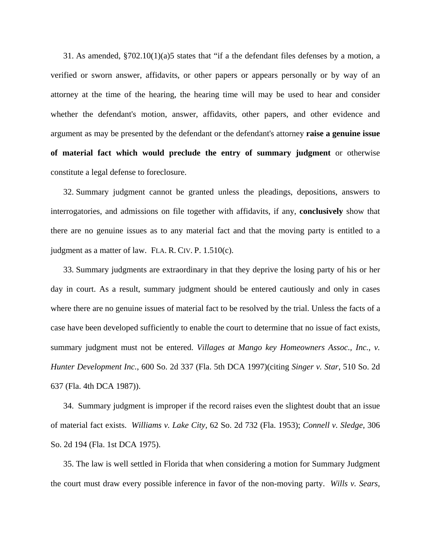31. As amended,  $$702.10(1)(a)5$  states that "if a the defendant files defenses by a motion, a verified or sworn answer, affidavits, or other papers or appears personally or by way of an attorney at the time of the hearing, the hearing time will may be used to hear and consider whether the defendant's motion, answer, affidavits, other papers, and other evidence and argument as may be presented by the defendant or the defendant's attorney **raise a genuine issue of material fact which would preclude the entry of summary judgment** or otherwise constitute a legal defense to foreclosure.

32. Summary judgment cannot be granted unless the pleadings, depositions, answers to interrogatories, and admissions on file together with affidavits, if any, **conclusively** show that there are no genuine issues as to any material fact and that the moving party is entitled to a judgment as a matter of law. FLA. R. CIV. P. 1.510(c).

33. Summary judgments are extraordinary in that they deprive the losing party of his or her day in court. As a result, summary judgment should be entered cautiously and only in cases where there are no genuine issues of material fact to be resolved by the trial. Unless the facts of a case have been developed sufficiently to enable the court to determine that no issue of fact exists, summary judgment must not be entered. *Villages at Mango key Homeowners Assoc., Inc., v. Hunter Development Inc.*, 600 So. 2d 337 (Fla. 5th DCA 1997)(citing *Singer v. Star*, 510 So. 2d 637 (Fla. 4th DCA 1987)).

34. Summary judgment is improper if the record raises even the slightest doubt that an issue of material fact exists. *Williams v. Lake City*, 62 So. 2d 732 (Fla. 1953); *Connell v. Sledge*, 306 So. 2d 194 (Fla. 1st DCA 1975).

35. The law is well settled in Florida that when considering a motion for Summary Judgment the court must draw every possible inference in favor of the non-moving party. *Wills v. Sears,*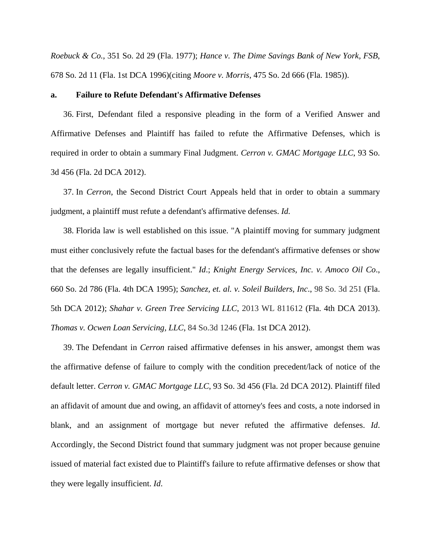*Roebuck & Co.*, 351 So. 2d 29 (Fla. 1977); *Hance v. The Dime Savings Bank of New York, FSB*, 678 So. 2d 11 (Fla. 1st DCA 1996)(citing *Moore v. Morris*, 475 So. 2d 666 (Fla. 1985)).

### **a. Failure to Refute Defendant's Affirmative Defenses**

36. First, Defendant filed a responsive pleading in the form of a Verified Answer and Affirmative Defenses and Plaintiff has failed to refute the Affirmative Defenses, which is required in order to obtain a summary Final Judgment. *Cerron v. GMAC Mortgage LLC*, 93 So. 3d 456 (Fla. 2d DCA 2012).

37. In *Cerron*, the Second District Court Appeals held that in order to obtain a summary judgment, a plaintiff must refute a defendant's affirmative defenses. *Id.*

38. Florida law is well established on this issue. "A plaintiff moving for summary judgment must either conclusively refute the factual bases for the defendant's affirmative defenses or show that the defenses are legally insufficient." *Id*.; *Knight Energy Services, Inc. v. Amoco Oil Co*., 660 So. 2d 786 (Fla. 4th DCA 1995); *Sanchez, et. al. v. Soleil Builders, Inc*., 98 So. 3d 251 (Fla. 5th DCA 2012); *Shahar v. Green Tree Servicing LLC*, 2013 WL 811612 (Fla. 4th DCA 2013). *Thomas v. Ocwen Loan Servicing, LLC*, 84 So.3d 1246 (Fla. 1st DCA 2012).

39. The Defendant in *Cerron* raised affirmative defenses in his answer, amongst them was the affirmative defense of failure to comply with the condition precedent/lack of notice of the default letter. *Cerron v. GMAC Mortgage LLC*, 93 So. 3d 456 (Fla. 2d DCA 2012). Plaintiff filed an affidavit of amount due and owing, an affidavit of attorney's fees and costs, a note indorsed in blank, and an assignment of mortgage but never refuted the affirmative defenses. *Id*. Accordingly, the Second District found that summary judgment was not proper because genuine issued of material fact existed due to Plaintiff's failure to refute affirmative defenses or show that they were legally insufficient. *Id*.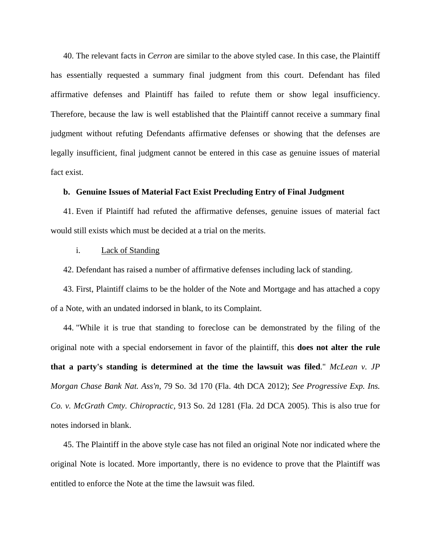40. The relevant facts in *Cerron* are similar to the above styled case. In this case, the Plaintiff has essentially requested a summary final judgment from this court. Defendant has filed affirmative defenses and Plaintiff has failed to refute them or show legal insufficiency. Therefore, because the law is well established that the Plaintiff cannot receive a summary final judgment without refuting Defendants affirmative defenses or showing that the defenses are legally insufficient, final judgment cannot be entered in this case as genuine issues of material fact exist.

### **b. Genuine Issues of Material Fact Exist Precluding Entry of Final Judgment**

41. Even if Plaintiff had refuted the affirmative defenses, genuine issues of material fact would still exists which must be decided at a trial on the merits.

### i. Lack of Standing

42. Defendant has raised a number of affirmative defenses including lack of standing.

43. First, Plaintiff claims to be the holder of the Note and Mortgage and has attached a copy of a Note, with an undated indorsed in blank, to its Complaint.

44. "While it is true that standing to foreclose can be demonstrated by the filing of the original note with a special endorsement in favor of the plaintiff, this **does not alter the rule that a party's standing is determined at the time the lawsuit was filed**." *McLean v. JP Morgan Chase Bank Nat. Ass'n*, 79 So. 3d 170 (Fla. 4th DCA 2012); *See Progressive Exp. Ins. Co. v. McGrath Cmty. Chiropractic,* 913 So. 2d 1281 (Fla. 2d DCA 2005). This is also true for notes indorsed in blank.

45. The Plaintiff in the above style case has not filed an original Note nor indicated where the original Note is located. More importantly, there is no evidence to prove that the Plaintiff was entitled to enforce the Note at the time the lawsuit was filed.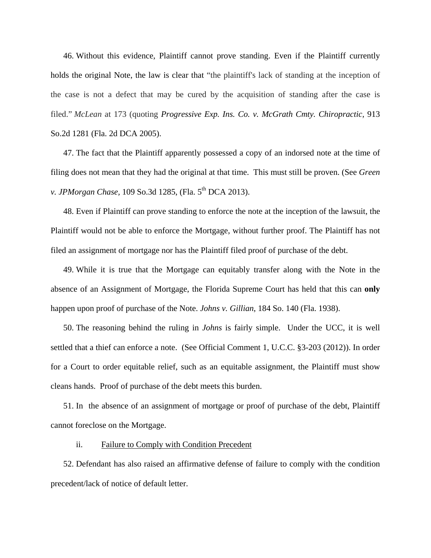46. Without this evidence, Plaintiff cannot prove standing. Even if the Plaintiff currently holds the original Note, the law is clear that "the plaintiff's lack of standing at the inception of the case is not a defect that may be cured by the acquisition of standing after the case is filed." *McLean* at 173 (quoting *Progressive Exp. Ins. Co. v. McGrath Cmty. Chiropractic,* 913 So.2d 1281 (Fla. 2d DCA 2005).

47. The fact that the Plaintiff apparently possessed a copy of an indorsed note at the time of filing does not mean that they had the original at that time. This must still be proven. (See *Green v. JPMorgan Chase,* 109 So.3d 1285, (Fla. 5<sup>th</sup> DCA 2013).

48. Even if Plaintiff can prove standing to enforce the note at the inception of the lawsuit, the Plaintiff would not be able to enforce the Mortgage, without further proof. The Plaintiff has not filed an assignment of mortgage nor has the Plaintiff filed proof of purchase of the debt.

49. While it is true that the Mortgage can equitably transfer along with the Note in the absence of an Assignment of Mortgage, the Florida Supreme Court has held that this can **only** happen upon proof of purchase of the Note. *Johns v. Gillian*, 184 So. 140 (Fla. 1938).

50. The reasoning behind the ruling in *Johns* is fairly simple. Under the UCC, it is well settled that a thief can enforce a note. (See Official Comment 1, U.C.C. §3-203 (2012)). In order for a Court to order equitable relief, such as an equitable assignment, the Plaintiff must show cleans hands. Proof of purchase of the debt meets this burden.

51. In the absence of an assignment of mortgage or proof of purchase of the debt, Plaintiff cannot foreclose on the Mortgage.

### ii. Failure to Comply with Condition Precedent

52. Defendant has also raised an affirmative defense of failure to comply with the condition precedent/lack of notice of default letter.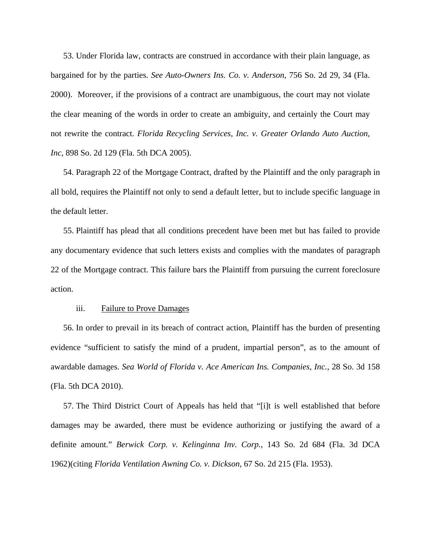53. Under Florida law, contracts are construed in accordance with their plain language, as bargained for by the parties. *See Auto-Owners Ins. Co. v. Anderson*, 756 So. 2d 29, 34 (Fla. 2000). Moreover, if the provisions of a contract are unambiguous, the court may not violate the clear meaning of the words in order to create an ambiguity, and certainly the Court may not rewrite the contract. *Florida Recycling Services, Inc. v. Greater Orlando Auto Auction, Inc*, 898 So. 2d 129 (Fla. 5th DCA 2005).

54. Paragraph 22 of the Mortgage Contract, drafted by the Plaintiff and the only paragraph in all bold, requires the Plaintiff not only to send a default letter, but to include specific language in the default letter.

55. Plaintiff has plead that all conditions precedent have been met but has failed to provide any documentary evidence that such letters exists and complies with the mandates of paragraph 22 of the Mortgage contract. This failure bars the Plaintiff from pursuing the current foreclosure action.

### iii. Failure to Prove Damages

56. In order to prevail in its breach of contract action, Plaintiff has the burden of presenting evidence "sufficient to satisfy the mind of a prudent, impartial person", as to the amount of awardable damages. *Sea World of Florida v. Ace American Ins. Companies, Inc.*, 28 So. 3d 158 (Fla. 5th DCA 2010).

57. The Third District Court of Appeals has held that "[i]t is well established that before damages may be awarded, there must be evidence authorizing or justifying the award of a definite amount." *Berwick Corp. v. Kelinginna Inv. Corp.*, 143 So. 2d 684 (Fla. 3d DCA 1962)(citing *Florida Ventilation Awning Co. v. Dickson*, 67 So. 2d 215 (Fla. 1953).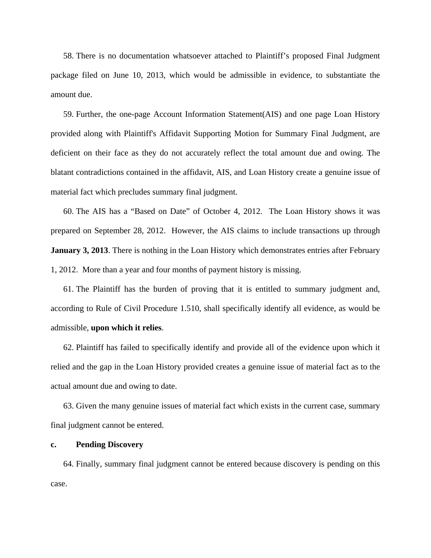58. There is no documentation whatsoever attached to Plaintiff's proposed Final Judgment package filed on June 10, 2013, which would be admissible in evidence, to substantiate the amount due.

59. Further, the one-page Account Information Statement(AIS) and one page Loan History provided along with Plaintiff's Affidavit Supporting Motion for Summary Final Judgment, are deficient on their face as they do not accurately reflect the total amount due and owing. The blatant contradictions contained in the affidavit, AIS, and Loan History create a genuine issue of material fact which precludes summary final judgment.

60. The AIS has a "Based on Date" of October 4, 2012. The Loan History shows it was prepared on September 28, 2012. However, the AIS claims to include transactions up through **January 3, 2013**. There is nothing in the Loan History which demonstrates entries after February 1, 2012. More than a year and four months of payment history is missing.

61. The Plaintiff has the burden of proving that it is entitled to summary judgment and, according to Rule of Civil Procedure 1.510, shall specifically identify all evidence, as would be admissible, **upon which it relies**.

62. Plaintiff has failed to specifically identify and provide all of the evidence upon which it relied and the gap in the Loan History provided creates a genuine issue of material fact as to the actual amount due and owing to date.

63. Given the many genuine issues of material fact which exists in the current case, summary final judgment cannot be entered.

### **c. Pending Discovery**

64. Finally, summary final judgment cannot be entered because discovery is pending on this case.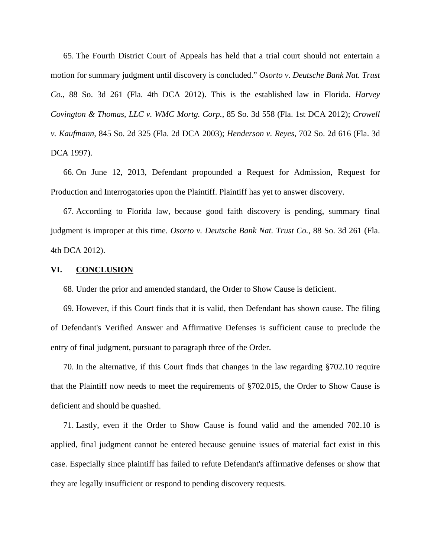65. The Fourth District Court of Appeals has held that a trial court should not entertain a motion for summary judgment until discovery is concluded." *Osorto v. Deutsche Bank Nat. Trust Co.*, 88 So. 3d 261 (Fla. 4th DCA 2012). This is the established law in Florida. *Harvey Covington & Thomas, LLC v. WMC Mortg. Corp.,* 85 So. 3d 558 (Fla. 1st DCA 2012); *Crowell v. Kaufmann*, 845 So. 2d 325 (Fla. 2d DCA 2003); *Henderson v. Reyes*, 702 So. 2d 616 (Fla. 3d DCA 1997).

66. On June 12, 2013, Defendant propounded a Request for Admission, Request for Production and Interrogatories upon the Plaintiff. Plaintiff has yet to answer discovery.

67. According to Florida law, because good faith discovery is pending, summary final judgment is improper at this time. *Osorto v. Deutsche Bank Nat. Trust Co.*, 88 So. 3d 261 (Fla. 4th DCA 2012).

### **VI. CONCLUSION**

68. Under the prior and amended standard, the Order to Show Cause is deficient.

69. However, if this Court finds that it is valid, then Defendant has shown cause. The filing of Defendant's Verified Answer and Affirmative Defenses is sufficient cause to preclude the entry of final judgment, pursuant to paragraph three of the Order.

70. In the alternative, if this Court finds that changes in the law regarding §702.10 require that the Plaintiff now needs to meet the requirements of §702.015, the Order to Show Cause is deficient and should be quashed.

71. Lastly, even if the Order to Show Cause is found valid and the amended 702.10 is applied, final judgment cannot be entered because genuine issues of material fact exist in this case. Especially since plaintiff has failed to refute Defendant's affirmative defenses or show that they are legally insufficient or respond to pending discovery requests.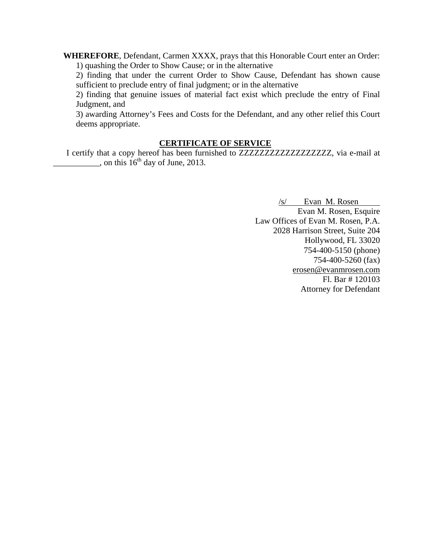**WHEREFORE**, Defendant, Carmen XXXX, prays that this Honorable Court enter an Order: 1) quashing the Order to Show Cause; or in the alternative

 2) finding that under the current Order to Show Cause, Defendant has shown cause sufficient to preclude entry of final judgment; or in the alternative

 2) finding that genuine issues of material fact exist which preclude the entry of Final Judgment, and

 3) awarding Attorney's Fees and Costs for the Defendant, and any other relief this Court deems appropriate.

### **CERTIFICATE OF SERVICE**

I certify that a copy hereof has been furnished to ZZZZZZZZZZZZZZZZZZ, via e-mail at  $\frac{1}{2}$ , on this 16<sup>th</sup> day of June, 2013.

> /s/ Evan M. Rosen Evan M. Rosen, Esquire Law Offices of Evan M. Rosen, P.A. 2028 Harrison Street, Suite 204 Hollywood, FL 33020 754-400-5150 (phone) 754-400-5260 (fax) erosen@evanmrosen.com Fl. Bar # 120103 Attorney for Defendant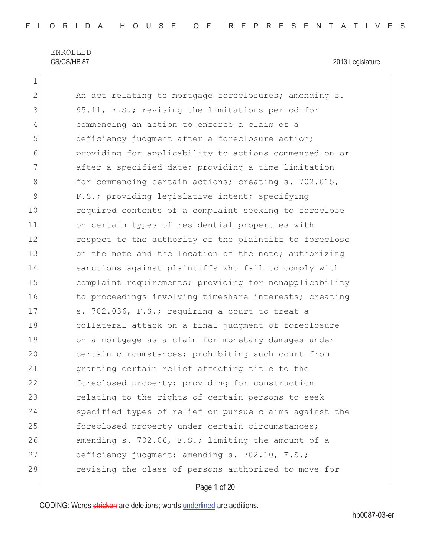1

| 2             | An act relating to mortgage foreclosures; amending s.  |
|---------------|--------------------------------------------------------|
| 3             | 95.11, F.S.; revising the limitations period for       |
| 4             | commencing an action to enforce a claim of a           |
| 5             | deficiency judgment after a foreclosure action;        |
| 6             | providing for applicability to actions commenced on or |
| 7             | after a specified date; providing a time limitation    |
| 8             | for commencing certain actions; creating s. 702.015,   |
| $\mathcal{G}$ | F.S.; providing legislative intent; specifying         |
| 10            | required contents of a complaint seeking to foreclose  |
| 11            | on certain types of residential properties with        |
| 12            | respect to the authority of the plaintiff to foreclose |
| 13            | on the note and the location of the note; authorizing  |
| 14            | sanctions against plaintiffs who fail to comply with   |
| 15            | complaint requirements; providing for nonapplicability |
| 16            | to proceedings involving timeshare interests; creating |
| 17            | s. 702.036, F.S.; requiring a court to treat a         |
| 18            | collateral attack on a final judgment of foreclosure   |
| 19            | on a mortgage as a claim for monetary damages under    |
| 20            | certain circumstances; prohibiting such court from     |
| 21            | granting certain relief affecting title to the         |
| 22            | foreclosed property; providing for construction        |
| 23            | relating to the rights of certain persons to seek      |
| 24            | specified types of relief or pursue claims against the |
| 25            | foreclosed property under certain circumstances;       |
| 26            | amending s. 702.06, F.S.; limiting the amount of a     |
| 27            | deficiency judgment; amending s. 702.10, F.S.;         |
| 28            | revising the class of persons authorized to move for   |
|               |                                                        |

## Page 1 of 20

CODING: Words stricken are deletions; words underlined are additions.

hb0087-03-er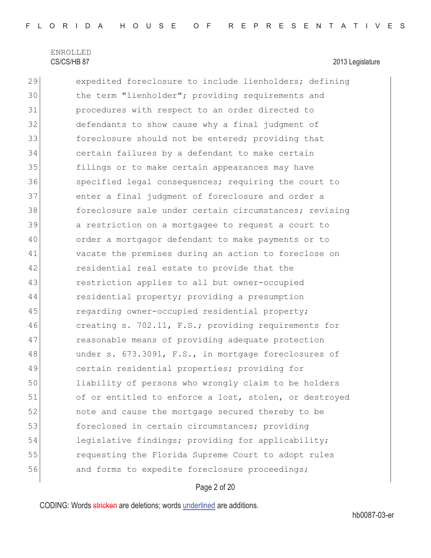29 expedited foreclosure to include lienholders; defining 30 the term "lienholder"; providing requirements and 31 procedures with respect to an order directed to 32 defendants to show cause why a final judgment of 33 **foreclosure should not be entered;** providing that 34 certain failures by a defendant to make certain 35 filings or to make certain appearances may have 36 specified legal consequences; requiring the court to 37 enter a final judgment of foreclosure and order a 38 foreclosure sale under certain circumstances; revising 39 a restriction on a mortgagee to request a court to 40 order a mortgagor defendant to make payments or to 41 vacate the premises during an action to foreclose on 42 residential real estate to provide that the 43 restriction applies to all but owner-occupied 44 residential property; providing a presumption 45 regarding owner-occupied residential property; 46 creating s. 702.11, F.S.; providing requirements for 47 reasonable means of providing adequate protection 48 under s. 673.3091, F.S., in mortgage foreclosures of 49 certain residential properties; providing for 50 liability of persons who wrongly claim to be holders 51 of or entitled to enforce a lost, stolen, or destroyed 52 note and cause the mortgage secured thereby to be 53 foreclosed in certain circumstances; providing 54 legislative findings; providing for applicability; 55 requesting the Florida Supreme Court to adopt rules 56 and forms to expedite foreclosure proceedings;

### Page 2 of 20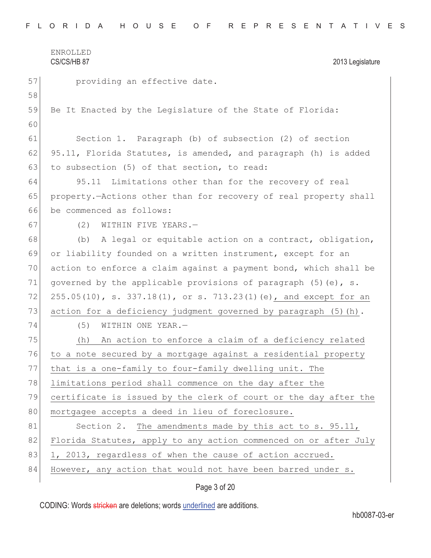57 **providing an effective date.** 58 59 Be It Enacted by the Legislature of the State of Florida: 60 61 Section 1. Paragraph (b) of subsection (2) of section 62 95.11, Florida Statutes, is amended, and paragraph (h) is added 63 to subsection  $(5)$  of that section, to read: 64 95.11 Limitations other than for the recovery of real 65 property.—Actions other than for recovery of real property shall 66 be commenced as follows: 67 (2) WITHIN FIVE YEARS. 68 (b) A legal or equitable action on a contract, obligation, 69 or liability founded on a written instrument, except for an 70 action to enforce a claim against a payment bond, which shall be 71 governed by the applicable provisions of paragraph  $(5)$  (e), s. 72 255.05(10), s. 337.18(1), or s. 713.23(1)(e), and except for an 73 action for a deficiency judgment governed by paragraph  $(5)$  (h). 74 (5) WITHIN ONE YEAR. 75 (h) An action to enforce a claim of a deficiency related 76 to a note secured by a mortgage against a residential property 77 that is a one-family to four-family dwelling unit. The 78 limitations period shall commence on the day after the 79 certificate is issued by the clerk of court or the day after the 80 mortgagee accepts a deed in lieu of foreclosure. 81 Section 2. The amendments made by this act to s. 95.11, 82 Florida Statutes, apply to any action commenced on or after July 83 1, 2013, regardless of when the cause of action accrued. 84 However, any action that would not have been barred under s.

Page 3 of 20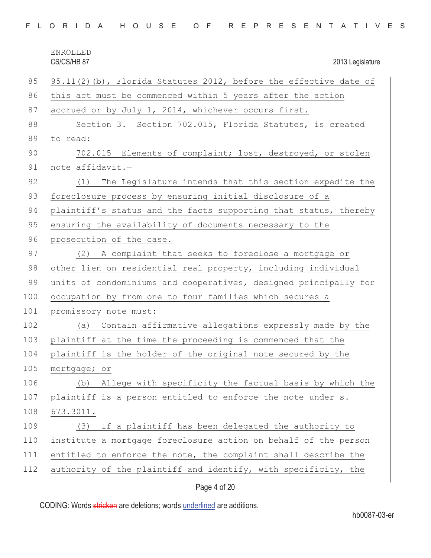|  |  |  | FLORIDA HOUSE OF REPRESENTATIVES |  |  |
|--|--|--|----------------------------------|--|--|
|--|--|--|----------------------------------|--|--|

ENROLLED CS/CS/HB 87 2013 Legislature 85 95.11(2)(b), Florida Statutes 2012, before the effective date of 86 this act must be commenced within 5 years after the action 87 accrued or by July 1, 2014, whichever occurs first. 88 Section 3. Section 702.015, Florida Statutes, is created 89 to read: 90 702.015 Elements of complaint; lost, destroyed, or stolen 91 note affidavit.-92 (1) The Legislature intends that this section expedite the 93 foreclosure process by ensuring initial disclosure of a 94 plaintiff's status and the facts supporting that status, thereby 95 ensuring the availability of documents necessary to the 96 prosecution of the case. 97 (2) A complaint that seeks to foreclose a mortgage or 98 other lien on residential real property, including individual 99 units of condominiums and cooperatives, designed principally for 100 occupation by from one to four families which secures a 101 promissory note must: 102 (a) Contain affirmative allegations expressly made by the 103 plaintiff at the time the proceeding is commenced that the 104 plaintiff is the holder of the original note secured by the 105 mortgage; or 106 (b) Allege with specificity the factual basis by which the 107 plaintiff is a person entitled to enforce the note under s. 108 673.3011. 109 (3) If a plaintiff has been delegated the authority to 110 institute a mortgage foreclosure action on behalf of the person 111 entitled to enforce the note, the complaint shall describe the 112 authority of the plaintiff and identify, with specificity, the

### Page 4 of 20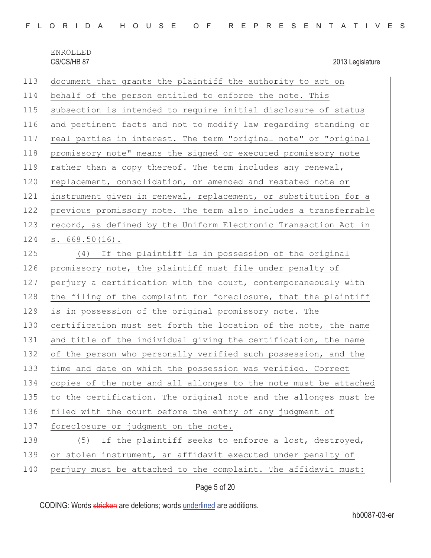| 113 | document that grants the plaintiff the authority to act on       |
|-----|------------------------------------------------------------------|
| 114 | behalf of the person entitled to enforce the note. This          |
| 115 | subsection is intended to require initial disclosure of status   |
| 116 | and pertinent facts and not to modify law regarding standing or  |
| 117 | real parties in interest. The term "original note" or "original  |
| 118 | promissory note" means the signed or executed promissory note    |
| 119 | rather than a copy thereof. The term includes any renewal,       |
| 120 | replacement, consolidation, or amended and restated note or      |
| 121 | instrument given in renewal, replacement, or substitution for a  |
| 122 | previous promissory note. The term also includes a transferrable |
| 123 | record, as defined by the Uniform Electronic Transaction Act in  |
| 124 | $s. 668.50(16)$ .                                                |
| 125 | (4) If the plaintiff is in possession of the original            |
| 126 | promissory note, the plaintiff must file under penalty of        |
| 127 | perjury a certification with the court, contemporaneously with   |
| 128 | the filing of the complaint for foreclosure, that the plaintiff  |
| 129 | is in possession of the original promissory note. The            |
| 130 | certification must set forth the location of the note, the name  |
| 131 | and title of the individual giving the certification, the name   |
| 132 | of the person who personally verified such possession, and the   |
| 133 | time and date on which the possession was verified. Correct      |
| 134 | copies of the note and all allonges to the note must be attached |
| 135 | to the certification. The original note and the allonges must be |
| 136 | filed with the court before the entry of any judgment of         |
| 137 | foreclosure or judgment on the note.                             |
| 138 | If the plaintiff seeks to enforce a lost, destroyed,<br>(5)      |
| 139 | or stolen instrument, an affidavit executed under penalty of     |
| 140 | perjury must be attached to the complaint. The affidavit must:   |
|     |                                                                  |

Page 5 of 20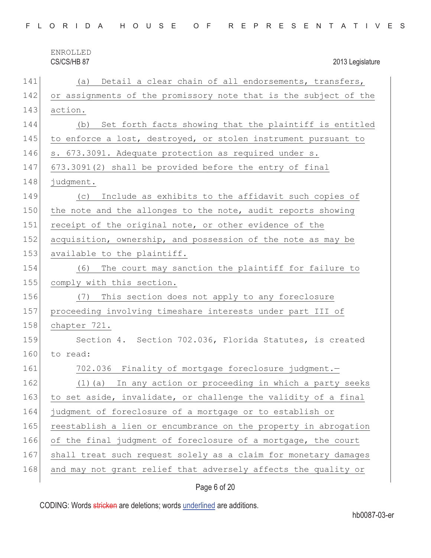|  |  |  |  |  |  |  |  |  |  |  |  | FLORIDA HOUSE OF REPRESENTATIVES |  |  |  |  |  |  |  |  |  |  |  |  |  |  |
|--|--|--|--|--|--|--|--|--|--|--|--|----------------------------------|--|--|--|--|--|--|--|--|--|--|--|--|--|--|
|--|--|--|--|--|--|--|--|--|--|--|--|----------------------------------|--|--|--|--|--|--|--|--|--|--|--|--|--|--|

| 141 | Detail a clear chain of all endorsements, transfers,<br>(a)      |
|-----|------------------------------------------------------------------|
| 142 | or assignments of the promissory note that is the subject of the |
| 143 | action.                                                          |
| 144 | Set forth facts showing that the plaintiff is entitled<br>(b)    |
| 145 | to enforce a lost, destroyed, or stolen instrument pursuant to   |
| 146 | s. 673.3091. Adequate protection as required under s.            |
| 147 | 673.3091(2) shall be provided before the entry of final          |
| 148 | judgment.                                                        |
| 149 | Include as exhibits to the affidavit such copies of<br>(C)       |
| 150 | the note and the allonges to the note, audit reports showing     |
| 151 | receipt of the original note, or other evidence of the           |
| 152 | acquisition, ownership, and possession of the note as may be     |
| 153 | available to the plaintiff.                                      |
| 154 | The court may sanction the plaintiff for failure to<br>(6)       |
| 155 | comply with this section.                                        |
| 156 | This section does not apply to any foreclosure<br>(7)            |
| 157 | proceeding involving timeshare interests under part III of       |
| 158 | chapter 721.                                                     |
| 159 | Section 4. Section 702.036, Florida Statutes, is created         |
| 160 | to read:                                                         |
| 161 | 702.036 Finality of mortgage foreclosure judgment.-              |
| 162 | In any action or proceeding in which a party seeks<br>(1) (a)    |
| 163 | to set aside, invalidate, or challenge the validity of a final   |
| 164 | judgment of foreclosure of a mortgage or to establish or         |
| 165 | reestablish a lien or encumbrance on the property in abrogation  |
| 166 | of the final judgment of foreclosure of a mortgage, the court    |
| 167 | shall treat such request solely as a claim for monetary damages  |
| 168 | and may not grant relief that adversely affects the quality or   |
|     |                                                                  |

## Page 6 of 20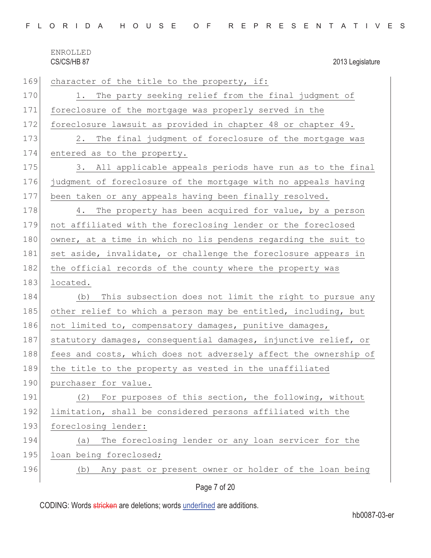|  |  |  |  |  |  |  |  |  |  |  |  | FLORIDA HOUSE OF REPRESENTATIVES |  |  |  |  |  |  |  |  |  |  |  |  |  |  |
|--|--|--|--|--|--|--|--|--|--|--|--|----------------------------------|--|--|--|--|--|--|--|--|--|--|--|--|--|--|
|--|--|--|--|--|--|--|--|--|--|--|--|----------------------------------|--|--|--|--|--|--|--|--|--|--|--|--|--|--|

| 169 | character of the title to the property, if:                      |
|-----|------------------------------------------------------------------|
| 170 | The party seeking relief from the final judgment of<br>1.        |
| 171 | foreclosure of the mortgage was properly served in the           |
| 172 | foreclosure lawsuit as provided in chapter 48 or chapter 49.     |
| 173 | The final judgment of foreclosure of the mortgage was<br>2.      |
| 174 | entered as to the property.                                      |
| 175 | 3. All applicable appeals periods have run as to the final       |
| 176 | judgment of foreclosure of the mortgage with no appeals having   |
| 177 | been taken or any appeals having been finally resolved.          |
| 178 | 4. The property has been acquired for value, by a person         |
| 179 | not affiliated with the foreclosing lender or the foreclosed     |
| 180 | owner, at a time in which no lis pendens regarding the suit to   |
| 181 | set aside, invalidate, or challenge the foreclosure appears in   |
| 182 | the official records of the county where the property was        |
| 183 | located.                                                         |
| 184 | This subsection does not limit the right to pursue any<br>(b)    |
| 185 | other relief to which a person may be entitled, including, but   |
| 186 | not limited to, compensatory damages, punitive damages,          |
| 187 | statutory damages, consequential damages, injunctive relief, or  |
| 188 | fees and costs, which does not adversely affect the ownership of |
| 189 | the title to the property as vested in the unaffiliated          |
| 190 | purchaser for value.                                             |
| 191 | For purposes of this section, the following, without<br>(2)      |
| 192 | limitation, shall be considered persons affiliated with the      |
| 193 | foreclosing lender:                                              |
| 194 | The foreclosing lender or any loan servicer for the<br>(a)       |
| 195 | loan being foreclosed;                                           |
| 196 | Any past or present owner or holder of the loan being<br>(b)     |
|     |                                                                  |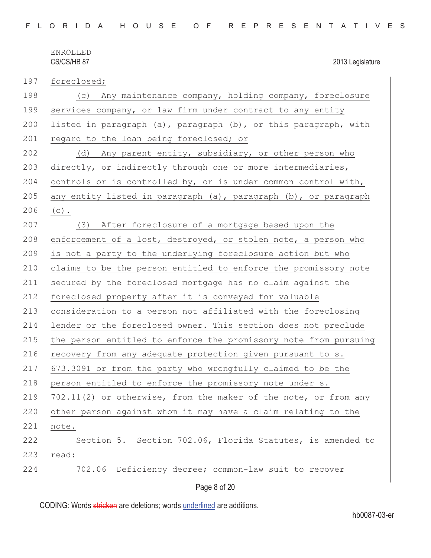| 197 | foreclosed;                                                      |
|-----|------------------------------------------------------------------|
| 198 | (c) Any maintenance company, holding company, foreclosure        |
| 199 | services company, or law firm under contract to any entity       |
| 200 | listed in paragraph (a), paragraph (b), or this paragraph, with  |
| 201 | regard to the loan being foreclosed; or                          |
| 202 | (d) Any parent entity, subsidiary, or other person who           |
| 203 | directly, or indirectly through one or more intermediaries,      |
| 204 | controls or is controlled by, or is under common control with,   |
| 205 | any entity listed in paragraph (a), paragraph (b), or paragraph  |
| 206 | $(c)$ .                                                          |
| 207 | (3) After foreclosure of a mortgage based upon the               |
| 208 | enforcement of a lost, destroyed, or stolen note, a person who   |
| 209 | is not a party to the underlying foreclosure action but who      |
| 210 | claims to be the person entitled to enforce the promissory note  |
| 211 | secured by the foreclosed mortgage has no claim against the      |
| 212 | foreclosed property after it is conveyed for valuable            |
| 213 | consideration to a person not affiliated with the foreclosing    |
| 214 | lender or the foreclosed owner. This section does not preclude   |
| 215 | the person entitled to enforce the promissory note from pursuing |
| 216 | recovery from any adequate protection given pursuant to s.       |
| 217 | 673.3091 or from the party who wrongfully claimed to be the      |
| 218 | person entitled to enforce the promissory note under s.          |
| 219 | 702.11(2) or otherwise, from the maker of the note, or from any  |
| 220 | other person against whom it may have a claim relating to the    |
| 221 | note.                                                            |
| 222 | Section 5. Section 702.06, Florida Statutes, is amended to       |
| 223 | read:                                                            |
| 224 | 702.06 Deficiency decree; common-law suit to recover             |
|     |                                                                  |

Page 8 of 20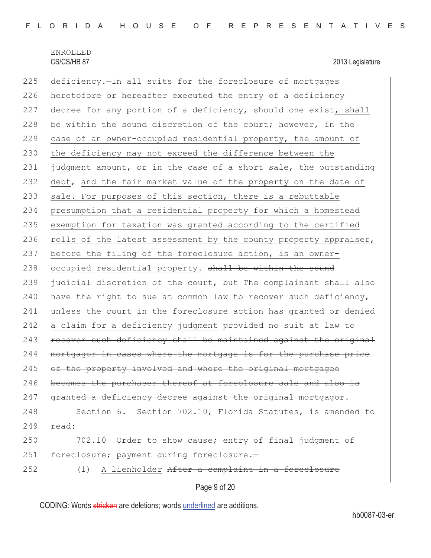Page 9 of 20 225 deficiency. The all suits for the foreclosure of mortgages 226 heretofore or hereafter executed the entry of a deficiency 227 decree for any portion of a deficiency, should one exist, shall 228 be within the sound discretion of the court; however, in the 229 case of an owner-occupied residential property, the amount of 230 the deficiency may not exceed the difference between the 231 judgment amount, or in the case of a short sale, the outstanding 232 debt, and the fair market value of the property on the date of 233 sale. For purposes of this section, there is a rebuttable 234 presumption that a residential property for which a homestead 235 exemption for taxation was granted according to the certified 236 rolls of the latest assessment by the county property appraiser, 237 before the filing of the foreclosure action, is an owner-238 occupied residential property. shall be within the sound 239  $\frac{1}{1}$   $\frac{1}{1}$   $\frac{1}{1}$   $\frac{1}{1}$   $\frac{1}{1}$   $\frac{1}{1}$   $\frac{1}{1}$   $\frac{1}{1}$   $\frac{1}{1}$   $\frac{1}{1}$   $\frac{1}{1}$   $\frac{1}{1}$   $\frac{1}{1}$   $\frac{1}{1}$   $\frac{1}{1}$   $\frac{1}{1}$   $\frac{1}{1}$   $\frac{1}{1}$   $\frac{1}{1}$   $\frac{1}{1}$   $\frac{1}{1}$   $\frac{1}{1$  $240$  have the right to sue at common law to recover such deficiency, 241 unless the court in the foreclosure action has granted or denied 242 a claim for a deficiency judgment provided no suit at law to  $243$  recover such deficiency shall be maintained against the original 244 mortgagor in cases where the mortgage is for the purchase price 245 of the property involved and where the original mortgagee 246 becomes the purchaser thereof at foreclosure sale and also is 247 granted a deficiency decree against the original mortgagor. 248 Section 6. Section 702.10, Florida Statutes, is amended to 249 read: 250 702.10 Order to show cause; entry of final judgment of 251 foreclosure; payment during foreclosure.-252 (1) A lienholder After a complaint in a foreclosure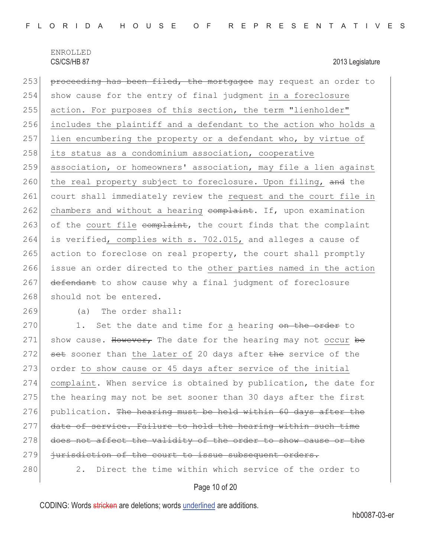253 proceeding has been filed, the mortgagee may request an order to 254 show cause for the entry of final judgment in a foreclosure 255 action. For purposes of this section, the term "lienholder" 256 includes the plaintiff and a defendant to the action who holds a 257 lien encumbering the property or a defendant who, by virtue of 258 its status as a condominium association, cooperative 259 association, or homeowners' association, may file a lien against 260 the real property subject to foreclosure. Upon filing, and the 261 court shall immediately review the request and the court file in 262 chambers and without a hearing  $\epsilon$ omplaint. If, upon examination 263 of the court file complaint, the court finds that the complaint 264 is verified, complies with s. 702.015, and alleges a cause of 265 action to foreclose on real property, the court shall promptly 266 issue an order directed to the other parties named in the action 267 defendant to show cause why a final judgment of foreclosure 268 should not be entered.

269 (a) The order shall:

270 1. Set the date and time for a hearing on the order to 271 show cause. However, The date for the hearing may not occur be 272  $\rightarrow$  set sooner than the later of 20 days after the service of the 273 order to show cause or 45 days after service of the initial 274 complaint. When service is obtained by publication, the date for 275 the hearing may not be set sooner than 30 days after the first  $276$  publication. The hearing must be held within 60 days after the 277 date of service. Failure to hold the hearing within such time 278 does not affect the validity of the order to show cause or the 279 jurisdiction of the court to issue subsequent orders. 280 2. Direct the time within which service of the order to

### Page 10 of 20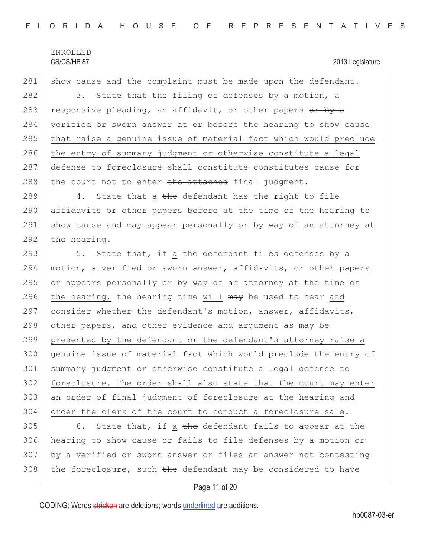281 show cause and the complaint must be made upon the defendant. 282 3. State that the filing of defenses by a motion, a 283 responsive pleading, an affidavit, or other papers  $\theta$  by a 284 verified or sworn answer at or before the hearing to show cause 285 that raise a genuine issue of material fact which would preclude 286 the entry of summary judgment or otherwise constitute a legal 287 defense to foreclosure shall constitute constitutes cause for 288 the court not to enter the attached final judgment.

289 4. State that a  $\frac{1}{28}$  defendant has the right to file 290 affidavits or other papers before  $a$ t the time of the hearing to 291 show cause and may appear personally or by way of an attorney at 292 the hearing.

293  $\vert$  5. State that, if a the defendant files defenses by a 294 motion, a verified or sworn answer, affidavits, or other papers 295 or appears personally or by way of an attorney at the time of 296 the hearing, the hearing time will  $\frac{m}{x}$  be used to hear and 297 consider whether the defendant's motion, answer, affidavits, 298 other papers, and other evidence and argument as may be 299 presented by the defendant or the defendant's attorney raise a 300 genuine issue of material fact which would preclude the entry of 301 summary judgment or otherwise constitute a legal defense to 302 foreclosure. The order shall also state that the court may enter 303 an order of final judgment of foreclosure at the hearing and 304 order the clerk of the court to conduct a foreclosure sale.

 $305$  6. State that, if a the defendant fails to appear at the 306 hearing to show cause or fails to file defenses by a motion or 307 by a verified or sworn answer or files an answer not contesting 308 the foreclosure, such the defendant may be considered to have

### Page 11 of 20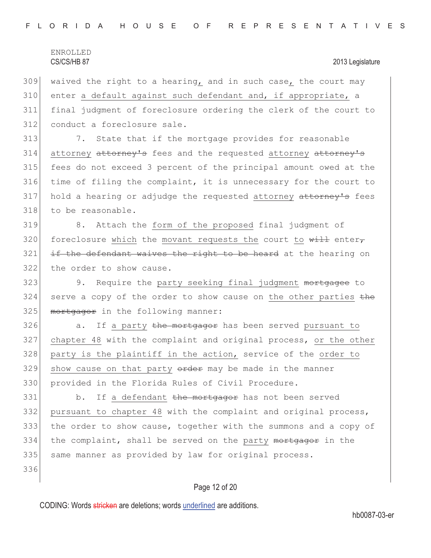$309$  waived the right to a hearing, and in such case, the court may  $310$  enter a default against such defendant and, if appropriate, a 311 final judgment of foreclosure ordering the clerk of the court to 312 conduct a foreclosure sale.

313 7. State that if the mortgage provides for reasonable 314 attorney attorney's fees and the requested attorney attorney's 315 fees do not exceed 3 percent of the principal amount owed at the 316 time of filing the complaint, it is unnecessary for the court to 317 hold a hearing or adjudge the requested attorney attorney's fees 318 to be reasonable.

319 8. Attach the form of the proposed final judgment of 320 foreclosure which the movant requests the court to  $\frac{1}{w+1}$  enter,  $321$  if the defendant waives the right to be heard at the hearing on 322 the order to show cause.

323 9. Require the party seeking final judgment mortgagee to  $324$  serve a copy of the order to show cause on the other parties  $t$ he 325 mortgagor in the following manner:

 $326$  a. If a party the mortgagor has been served pursuant to 327 chapter 48 with the complaint and original process, or the other 328 party is the plaintiff in the action, service of the order to  $329$  show cause on that party  $\theta$ rder may be made in the manner 330 provided in the Florida Rules of Civil Procedure.

331 b. If a defendant the mortgagor has not been served 332 pursuant to chapter 48 with the complaint and original process, 333 the order to show cause, together with the summons and a copy of 334 the complaint, shall be served on the party mortgagor in the 335 | same manner as provided by law for original process.

336

### Page 12 of 20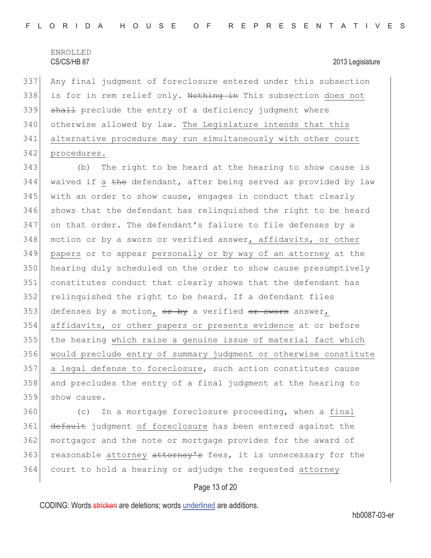337 Any final judgment of foreclosure entered under this subsection 338 is for in rem relief only. Nothing in This subsection does not 339 shall preclude the entry of a deficiency judgment where 340 otherwise allowed by law. The Legislature intends that this 341 alternative procedure may run simultaneously with other court 342 procedures.

343 (b) The right to be heard at the hearing to show cause is 344 waived if a the defendant, after being served as provided by law 345 with an order to show cause, engages in conduct that clearly 346 shows that the defendant has relinquished the right to be heard 347 on that order. The defendant's failure to file defenses by a 348 motion or by a sworn or verified answer, affidavits, or other 349 papers or to appear personally or by way of an attorney at the 350 hearing duly scheduled on the order to show cause presumptively 351 constitutes conduct that clearly shows that the defendant has 352 relinquished the right to be heard. If a defendant files 353 defenses by a motion,  $e^{i\phi}$  a verified  $e^{i\phi}$  answer, 354 affidavits, or other papers or presents evidence at or before 355 the hearing which raise a genuine issue of material fact which 356 would preclude entry of summary judgment or otherwise constitute 357 a legal defense to foreclosure, such action constitutes cause 358 and precludes the entry of a final judgment at the hearing to 359 show cause.

360 (c) In a mortgage foreclosure proceeding, when a final 361 default judgment of foreclosure has been entered against the 362 mortgagor and the note or mortgage provides for the award of 363 reasonable attorney attorney's fees, it is unnecessary for the 364 court to hold a hearing or adjudge the requested attorney

### Page 13 of 20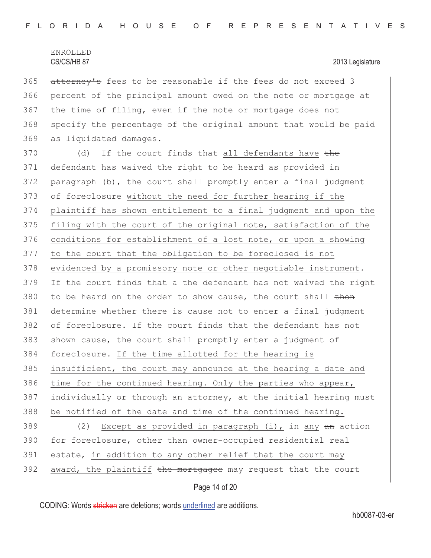365 attorney's fees to be reasonable if the fees do not exceed 3 366 percent of the principal amount owed on the note or mortgage at 367 the time of filing, even if the note or mortgage does not 368 specify the percentage of the original amount that would be paid 369 as liquidated damages.

 $370$  (d) If the court finds that all defendants have the 371 defendant has waived the right to be heard as provided in 372 paragraph (b), the court shall promptly enter a final judgment 373 of foreclosure without the need for further hearing if the 374 plaintiff has shown entitlement to a final judgment and upon the 375 filing with the court of the original note, satisfaction of the 376 conditions for establishment of a lost note, or upon a showing 377 to the court that the obligation to be foreclosed is not 378 evidenced by a promissory note or other negotiable instrument.  $379$  If the court finds that a the defendant has not waived the right  $380$  to be heard on the order to show cause, the court shall then 381 determine whether there is cause not to enter a final judgment 382 of foreclosure. If the court finds that the defendant has not 383 shown cause, the court shall promptly enter a judgment of 384 foreclosure. If the time allotted for the hearing is 385 insufficient, the court may announce at the hearing a date and 386 time for the continued hearing. Only the parties who appear, 387 individually or through an attorney, at the initial hearing must 388 be notified of the date and time of the continued hearing. 389 (2) Except as provided in paragraph (i), in any an action 390 for foreclosure, other than owner-occupied residential real 391 estate, in addition to any other relief that the court may  $392$  award, the plaintiff the mortgagee may request that the court

### Page 14 of 20

CODING: Words stricken are deletions; words underlined are additions.

hb0087-03-er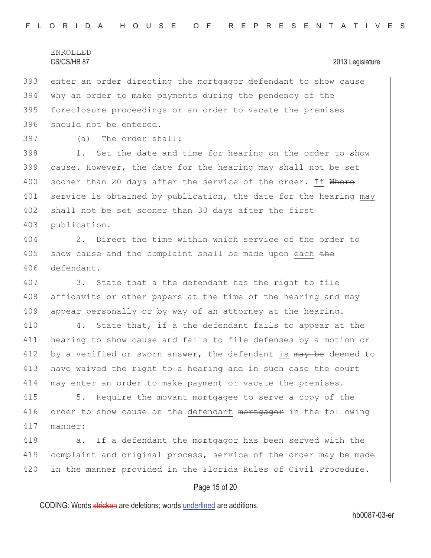393 enter an order directing the mortgagor defendant to show cause 394 why an order to make payments during the pendency of the 395 foreclosure proceedings or an order to vacate the premises 396 should not be entered.

397 (a) The order shall:

398 1. Set the date and time for hearing on the order to show 399 cause. However, the date for the hearing may shall not be set 400 sooner than 20 days after the service of the order. If Where 401 service is obtained by publication, the date for the hearing may 402 shall not be set sooner than 30 days after the first 403 publication.

404 2. Direct the time within which service of the order to  $405$  show cause and the complaint shall be made upon each  $the$ 406 defendant.

407 3. State that a the defendant has the right to file 408 affidavits or other papers at the time of the hearing and may 409 appear personally or by way of an attorney at the hearing.

410 4. State that, if a the defendant fails to appear at the 411 hearing to show cause and fails to file defenses by a motion or 412 by a verified or sworn answer, the defendant is  $\frac{m}{w}$  be deemed to 413 have waived the right to a hearing and in such case the court 414 may enter an order to make payment or vacate the premises.

415 5. Require the movant mortgagee to serve a copy of the 416 order to show cause on the defendant mortgagor in the following 417 manner:

418 a. If a defendant the mortgagor has been served with the 419 complaint and original process, service of the order may be made 420 in the manner provided in the Florida Rules of Civil Procedure.

### Page 15 of 20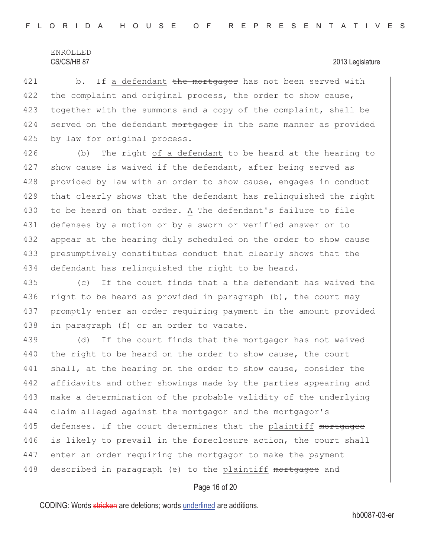421 b. If a defendant the mortgagor has not been served with 422 the complaint and original process, the order to show cause, 423 together with the summons and a copy of the complaint, shall be  $424$  served on the defendant  $m$ ortgagor in the same manner as provided 425 by law for original process.

426 (b) The right of a defendant to be heard at the hearing to 427 show cause is waived if the defendant, after being served as 428 provided by law with an order to show cause, engages in conduct 429 that clearly shows that the defendant has relinquished the right 430 to be heard on that order. A The defendant's failure to file 431 defenses by a motion or by a sworn or verified answer or to 432 appear at the hearing duly scheduled on the order to show cause 433 presumptively constitutes conduct that clearly shows that the 434 defendant has relinquished the right to be heard.

435 (c) If the court finds that a the defendant has waived the 436 right to be heard as provided in paragraph  $(b)$ , the court may 437 promptly enter an order requiring payment in the amount provided 438 in paragraph (f) or an order to vacate.

439 (d) If the court finds that the mortgagor has not waived 440 the right to be heard on the order to show cause, the court 441 shall, at the hearing on the order to show cause, consider the 442 affidavits and other showings made by the parties appearing and 443 make a determination of the probable validity of the underlying 444 claim alleged against the mortgagor and the mortgagor's 445 defenses. If the court determines that the plaintiff mortgagee 446 is likely to prevail in the foreclosure action, the court shall 447 enter an order requiring the mortgagor to make the payment 448 described in paragraph (e) to the plaintiff mortgagee and

### Page 16 of 20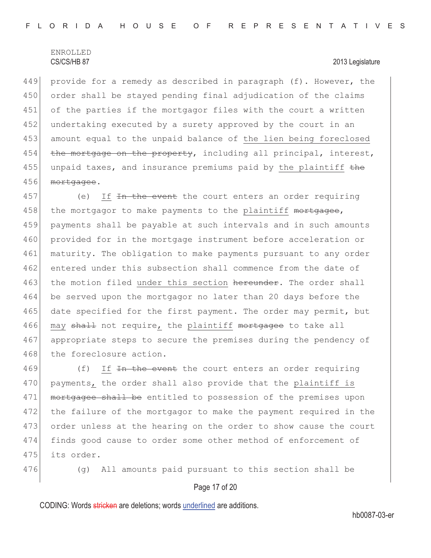449 provide for a remedy as described in paragraph (f). However, the 450 order shall be stayed pending final adjudication of the claims 451 of the parties if the mortgagor files with the court a written 452 undertaking executed by a surety approved by the court in an 453 amount equal to the unpaid balance of the lien being foreclosed 454 the mortgage on the property, including all principal, interest, 455 unpaid taxes, and insurance premiums paid by the plaintiff the 456 mortgagee.

457 (e) If <del>In the event</del> the court enters an order requiring 458 the mortgagor to make payments to the plaintiff mortgagee, 459 payments shall be payable at such intervals and in such amounts 460 provided for in the mortgage instrument before acceleration or 461 maturity. The obligation to make payments pursuant to any order 462 entered under this subsection shall commence from the date of 463 the motion filed under this section hereunder. The order shall 464 be served upon the mortgagor no later than 20 days before the 465 date specified for the first payment. The order may permit, but 466 may shall not require, the plaintiff mortgagee to take all 467 appropriate steps to secure the premises during the pendency of 468 the foreclosure action.

469 (f) If In the event the court enters an order requiring 470 payments, the order shall also provide that the plaintiff is 471 mortgagee shall be entitled to possession of the premises upon 472 the failure of the mortgagor to make the payment required in the 473 order unless at the hearing on the order to show cause the court 474 finds good cause to order some other method of enforcement of 475 its order.

476 (g) All amounts paid pursuant to this section shall be

### Page 17 of 20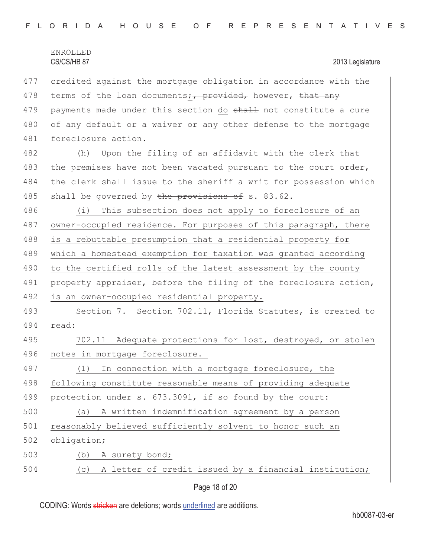|     | <b>ENROLLED</b><br>CS/CS/HB 87<br>2013 Legislature               |
|-----|------------------------------------------------------------------|
| 477 | credited against the mortgage obligation in accordance with the  |
| 478 | terms of the loan documents; provided, however, that any         |
| 479 | payments made under this section do shall not constitute a cure  |
| 480 | of any default or a waiver or any other defense to the mortgage  |
| 481 | foreclosure action.                                              |
| 482 | Upon the filing of an affidavit with the clerk that<br>(h)       |
| 483 | the premises have not been vacated pursuant to the court order,  |
| 484 | the clerk shall issue to the sheriff a writ for possession which |
| 485 | shall be governed by the provisions of s. 83.62.                 |
| 486 | (i)<br>This subsection does not apply to foreclosure of an       |
| 487 | owner-occupied residence. For purposes of this paragraph, there  |
| 488 | is a rebuttable presumption that a residential property for      |
| 489 | which a homestead exemption for taxation was granted according   |
| 490 | to the certified rolls of the latest assessment by the county    |
| 491 | property appraiser, before the filing of the foreclosure action, |
| 492 | is an owner-occupied residential property.                       |
| 493 | Section 7. Section 702.11, Florida Statutes, is created to       |
| 494 | read:                                                            |
| 495 | 702.11 Adequate protections for lost, destroyed, or stolen       |
| 496 | notes in mortgage foreclosure.-                                  |
| 497 | In connection with a mortgage foreclosure, the<br>(1)            |
| 498 | following constitute reasonable means of providing adequate      |
| 499 | protection under s. 673.3091, if so found by the court:          |
| 500 | A written indemnification agreement by a person<br>(a)           |
| 501 | reasonably believed sufficiently solvent to honor such an        |
| 502 | obligation;                                                      |
| 503 | A surety bond;<br>(b)                                            |
| 504 | (c) A letter of credit issued by a financial institution;        |

Page 18 of 20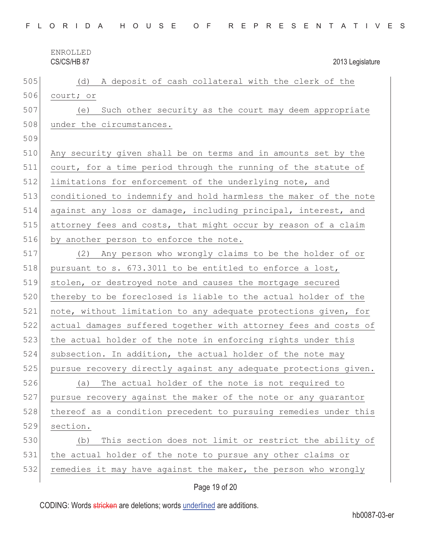| 505 | A deposit of cash collateral with the clerk of the<br>(d)        |
|-----|------------------------------------------------------------------|
| 506 | court; or                                                        |
| 507 | Such other security as the court may deem appropriate<br>(e)     |
| 508 | under the circumstances.                                         |
| 509 |                                                                  |
| 510 | Any security given shall be on terms and in amounts set by the   |
| 511 | court, for a time period through the running of the statute of   |
| 512 | limitations for enforcement of the underlying note, and          |
| 513 | conditioned to indemnify and hold harmless the maker of the note |
| 514 | against any loss or damage, including principal, interest, and   |
| 515 | attorney fees and costs, that might occur by reason of a claim   |
| 516 | by another person to enforce the note.                           |
| 517 | (2) Any person who wrongly claims to be the holder of or         |
| 518 | pursuant to s. 673.3011 to be entitled to enforce a lost,        |
| 519 | stolen, or destroyed note and causes the mortgage secured        |
| 520 | thereby to be foreclosed is liable to the actual holder of the   |
| 521 | note, without limitation to any adequate protections given, for  |
| 522 | actual damages suffered together with attorney fees and costs of |
| 523 | the actual holder of the note in enforcing rights under this     |
| 524 | subsection. In addition, the actual holder of the note may       |
| 525 | pursue recovery directly against any adequate protections given. |
| 526 | The actual holder of the note is not required to<br>(a)          |
| 527 | pursue recovery against the maker of the note or any guarantor   |
| 528 | thereof as a condition precedent to pursuing remedies under this |
| 529 | section.                                                         |
| 530 | This section does not limit or restrict the ability of<br>(b)    |
| 531 | the actual holder of the note to pursue any other claims or      |
| 532 | remedies it may have against the maker, the person who wrongly   |
|     | Page 19 of 20                                                    |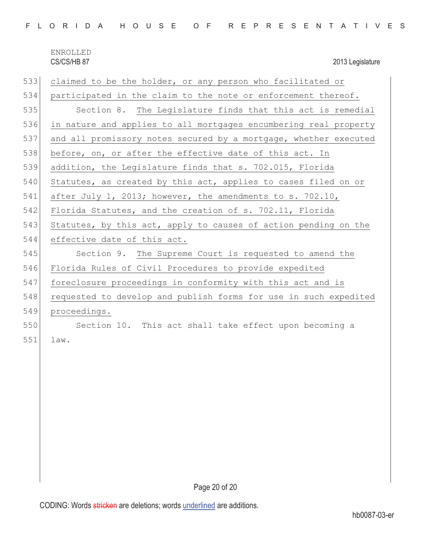|  |  |  | FLORIDA HOUSE OF REPRESENTATIVES |  |  |
|--|--|--|----------------------------------|--|--|
|--|--|--|----------------------------------|--|--|

| 533 | claimed to be the holder, or any person who facilitated or       |  |  |
|-----|------------------------------------------------------------------|--|--|
| 534 | participated in the claim to the note or enforcement thereof.    |  |  |
| 535 | Section 8. The Legislature finds that this act is remedial       |  |  |
| 536 | in nature and applies to all mortgages encumbering real property |  |  |
| 537 | and all promissory notes secured by a mortgage, whether executed |  |  |
| 538 | before, on, or after the effective date of this act. In          |  |  |
| 539 | addition, the Legislature finds that s. 702.015, Florida         |  |  |
| 540 | Statutes, as created by this act, applies to cases filed on or   |  |  |
| 541 | after July 1, 2013; however, the amendments to s. 702.10,        |  |  |
| 542 | Florida Statutes, and the creation of s. 702.11, Florida         |  |  |
| 543 | Statutes, by this act, apply to causes of action pending on the  |  |  |
| 544 | effective date of this act.                                      |  |  |
| 545 | Section 9. The Supreme Court is requested to amend the           |  |  |
| 546 | Florida Rules of Civil Procedures to provide expedited           |  |  |
| 547 | foreclosure proceedings in conformity with this act and is       |  |  |
| 548 | requested to develop and publish forms for use in such expedited |  |  |
| 549 | proceedings.                                                     |  |  |
| 550 | Section 10. This act shall take effect upon becoming a           |  |  |
| 551 | law.                                                             |  |  |
|     |                                                                  |  |  |
|     |                                                                  |  |  |
|     |                                                                  |  |  |
|     |                                                                  |  |  |
|     |                                                                  |  |  |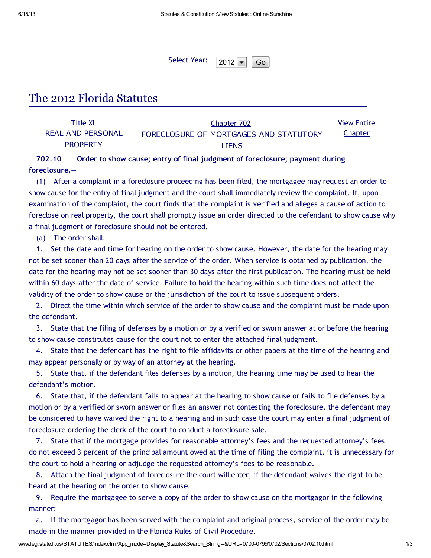Select Year:  $2012 - G$ 

# The 2012 Florida Statutes

| Title XL          | Chapter 702                            | <b>View Entire</b> |
|-------------------|----------------------------------------|--------------------|
| REAL AND PERSONAL | FORECLOSURE OF MORTGAGES AND STATUTORY | <b>Chapter</b>     |
| <b>PROPERTY</b>   | <b>LIENS</b>                           |                    |

## 702.10 Order to show cause; entry of final judgment of foreclosure; payment during foreclosure.—

(1) After a complaint in a foreclosure proceeding has been filed, the mortgagee may request an order to show cause for the entry of final judgment and the court shall immediately review the complaint. If, upon examination of the complaint, the court finds that the complaint is verified and alleges a cause of action to foreclose on real property, the court shall promptly issue an order directed to the defendant to show cause why a final judgment of foreclosure should not be entered.

(a) The order shall:

1. Set the date and time for hearing on the order to show cause. However, the date for the hearing may not be set sooner than 20 days after the service of the order. When service is obtained by publication, the date for the hearing may not be set sooner than 30 days after the first publication. The hearing must be held within 60 days after the date of service. Failure to hold the hearing within such time does not affect the validity of the order to show cause or the jurisdiction of the court to issue subsequent orders.

2. Direct the time within which service of the order to show cause and the complaint must be made upon the defendant.

3. State that the filing of defenses by a motion or by a verified or sworn answer at or before the hearing to show cause constitutes cause for the court not to enter the attached final judgment.

4. State that the defendant has the right to file affidavits or other papers at the time of the hearing and may appear personally or by way of an attorney at the hearing.

5. State that, if the defendant files defenses by a motion, the hearing time may be used to hear the defendant's motion.

6. State that, if the defendant fails to appear at the hearing to show cause or fails to file defenses by a motion or by a verified or sworn answer or files an answer not contesting the foreclosure, the defendant may be considered to have waived the right to a hearing and in such case the court may enter a final judgment of foreclosure ordering the clerk of the court to conduct a foreclosure sale.

7. State that if the mortgage provides for reasonable attorney's fees and the requested attorney's fees do not exceed 3 percent of the principal amount owed at the time of filing the complaint, it is unnecessary for the court to hold a hearing or adjudge the requested attorney's fees to be reasonable.

8. Attach the final judgment of foreclosure the court will enter, if the defendant waives the right to be heard at the hearing on the order to show cause.

9. Require the mortgagee to serve a copy of the order to show cause on the mortgagor in the following manner:

a. If the mortgagor has been served with the complaint and original process, service of the order may be made in the manner provided in the Florida Rules of Civil Procedure.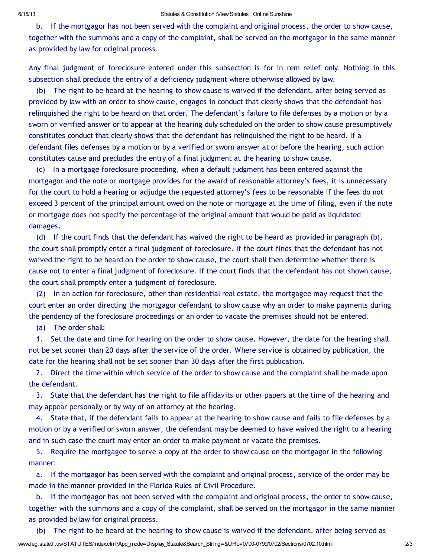b. If the mortgagor has not been served with the complaint and original process, the order to show cause, together with the summons and a copy of the complaint, shall be served on the mortgagor in the same manner as provided by law for original process.

Any final judgment of foreclosure entered under this subsection is for in rem relief only. Nothing in this subsection shall preclude the entry of a deficiency judgment where otherwise allowed by law.

(b) The right to be heard at the hearing to show cause is waived if the defendant, after being served as provided by law with an order to show cause, engages in conduct that clearly shows that the defendant has relinquished the right to be heard on that order. The defendant's failure to file defenses by a motion or by a sworn or verified answer or to appear at the hearing duly scheduled on the order to show cause presumptively constitutes conduct that clearly shows that the defendant has relinquished the right to be heard. If a defendant files defenses by a motion or by a verified or sworn answer at or before the hearing, such action constitutes cause and precludes the entry of a final judgment at the hearing to show cause.

(c) In a mortgage foreclosure proceeding, when a default judgment has been entered against the mortgagor and the note or mortgage provides for the award of reasonable attorney's fees, it is unnecessary for the court to hold a hearing or adjudge the requested attorney's fees to be reasonable if the fees do not exceed 3 percent of the principal amount owed on the note or mortgage at the time of filing, even if the note or mortgage does not specify the percentage of the original amount that would be paid as liquidated damages.

(d) If the court finds that the defendant has waived the right to be heard as provided in paragraph (b), the court shall promptly enter a final judgment of foreclosure. If the court finds that the defendant has not waived the right to be heard on the order to show cause, the court shall then determine whether there is cause not to enter a final judgment of foreclosure. If the court finds that the defendant has not shown cause, the court shall promptly enter a judgment of foreclosure.

(2) In an action for foreclosure, other than residential real estate, the mortgagee may request that the court enter an order directing the mortgagor defendant to show cause why an order to make payments during the pendency of the foreclosure proceedings or an order to vacate the premises should not be entered.

(a) The order shall:

1. Set the date and time for hearing on the order to show cause. However, the date for the hearing shall not be set sooner than 20 days after the service of the order. Where service is obtained by publication, the date for the hearing shall not be set sooner than 30 days after the first publication.

2. Direct the time within which service of the order to show cause and the complaint shall be made upon the defendant.

3. State that the defendant has the right to file affidavits or other papers at the time of the hearing and may appear personally or by way of an attorney at the hearing.

4. State that, if the defendant fails to appear at the hearing to show cause and fails to file defenses by a motion or by a verified or sworn answer, the defendant may be deemed to have waived the right to a hearing and in such case the court may enter an order to make payment or vacate the premises.

5. Require the mortgagee to serve a copy of the order to show cause on the mortgagor in the following manner:

a. If the mortgagor has been served with the complaint and original process, service of the order may be made in the manner provided in the Florida Rules of Civil Procedure.

b. If the mortgagor has not been served with the complaint and original process, the order to show cause, together with the summons and a copy of the complaint, shall be served on the mortgagor in the same manner as provided by law for original process.

www.leg.state.fl.us/STATUTES/index.cfm?App\_mode=Display\_Statute&Search\_String=&URL=0700-0799/0702/Sections/0702.10.html 2/3 (b) The right to be heard at the hearing to show cause is waived if the defendant, after being served as